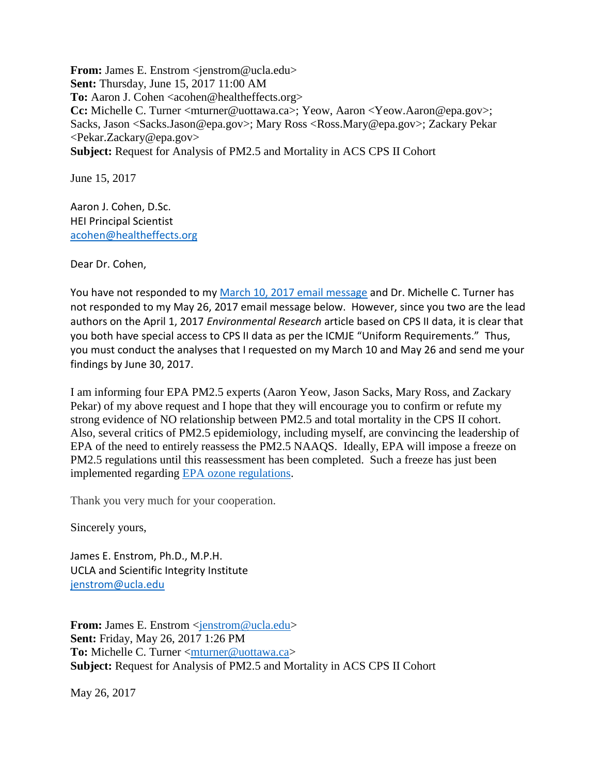**From:** James E. Enstrom <*jenstrom@ucla.edu>* **Sent:** Thursday, June 15, 2017 11:00 AM **To:** Aaron J. Cohen <acohen@healtheffects.org> **Cc:** Michelle C. Turner <mturner@uottawa.ca>; Yeow, Aaron <Yeow.Aaron@epa.gov>; Sacks, Jason <Sacks.Jason@epa.gov>; Mary Ross <Ross.Mary@epa.gov>; Zackary Pekar <Pekar.Zackary@epa.gov> **Subject:** Request for Analysis of PM2.5 and Mortality in ACS CPS II Cohort

June 15, 2017

Aaron J. Cohen, D.Sc. HEI Principal Scientist [acohen@healtheffects.org](mailto:acohen@healtheffects.org)

Dear Dr. Cohen,

You have not responded to my [March 10, 2017 email message](http://www.scientificintegrityinstitute.org/greenbaum031017.pdf) and Dr. Michelle C. Turner has not responded to my May 26, 2017 email message below. However, since you two are the lead authors on the April 1, 2017 *Environmental Research* article based on CPS II data, it is clear that you both have special access to CPS II data as per the ICMJE "Uniform Requirements." Thus, you must conduct the analyses that I requested on my March 10 and May 26 and send me your findings by June 30, 2017.

I am informing four EPA PM2.5 experts (Aaron Yeow, Jason Sacks, Mary Ross, and Zackary Pekar) of my above request and I hope that they will encourage you to confirm or refute my strong evidence of NO relationship between PM2.5 and total mortality in the CPS II cohort. Also, several critics of PM2.5 epidemiology, including myself, are convincing the leadership of EPA of the need to entirely reassess the PM2.5 NAAQS. Ideally, EPA will impose a freeze on PM2.5 regulations until this reassessment has been completed. Such a freeze has just been implemented regarding [EPA ozone regulations.](http://thehill.com/policy/energy-environment/336663-epa-delays-obama-air-pollution-rule-deadline-by-one-year)

Thank you very much for your cooperation.

Sincerely yours,

James E. Enstrom, Ph.D., M.P.H. UCLA and Scientific Integrity Institute [jenstrom@ucla.edu](mailto:jenstrom@ucla.edu)

**From:** James E. Enstrom <*jenstrom@ucla.edu>* **Sent:** Friday, May 26, 2017 1:26 PM To: Michelle C. Turner [<mturner@uottawa.ca>](mailto:mturner@uottawa.ca) **Subject:** Request for Analysis of PM2.5 and Mortality in ACS CPS II Cohort

May 26, 2017